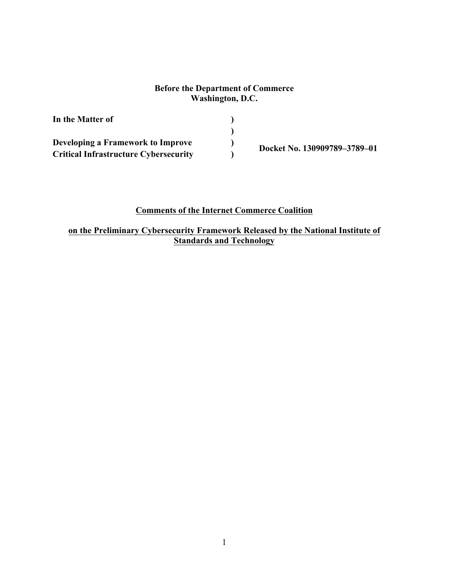### **Before the Department of Commerce Washington, D.C.**

| In the Matter of                             |                              |  |
|----------------------------------------------|------------------------------|--|
|                                              |                              |  |
| Developing a Framework to Improve            |                              |  |
| <b>Critical Infrastructure Cybersecurity</b> | Docket No. 130909789-3789-01 |  |

**Comments of the Internet Commerce Coalition<br>on the Preliminary Cybersecurity Framework Released by the National Institute of Standards and Technology**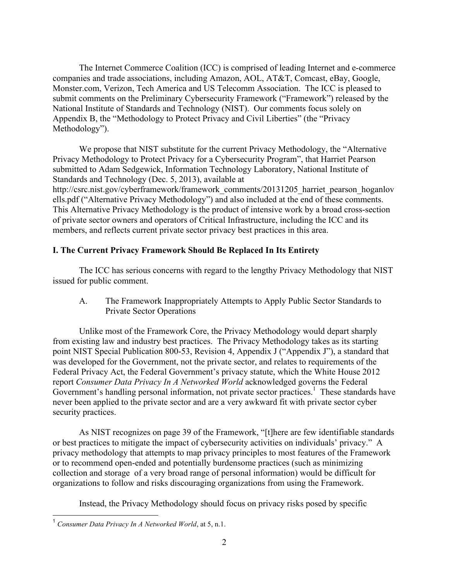The Internet Commerce Coalition (ICC) is comprised of leading Internet and e-commerce companies and trade associations, including Amazon, AOL, AT&T, Comcast, eBay, Google, Monster.com, Verizon, Tech America and US Telecomm Association. The ICC is pleased to submit comments on the Preliminary Cybersecurity Framework ("Framework") released by the National Institute of Standards and Technology (NIST). Our comments focus solely on Appendix B, the "Methodology to Protect Privacy and Civil Liberties" (the "Privacy Methodology").

Standards and Technology (Dec. 5, 2013), available at members, and reflects current private sector privacy best practices in this area. We propose that NIST substitute for the current Privacy Methodology, the "Alternative Privacy Methodology to Protect Privacy for a Cybersecurity Program", that Harriet Pearson submitted to Adam Sedgewick, Information Technology Laboratory, National Institute of http://csrc.nist.gov/cyberframework/framework\_comments/20131205\_harriet\_pearson\_hoganlov ells.pdf ("Alternative Privacy Methodology") and also included at the end of these comments. This Alternative Privacy Methodology is the product of intensive work by a broad cross-section of private sector owners and operators of Critical Infrastructure, including the ICC and its

## **I. The Current Privacy Framework Should Be Replaced In Its Entirety**

 The ICC has serious concerns with regard to the lengthy Privacy Methodology that NIST issued for public comment.

A. The Framework Inappropriately Attempts to Apply Public Sector Standards to Private Sector Operations

 from existing law and industry best practices. The Privacy Methodology takes as its starting point NIST Special Publication 800-53, Revision 4, Appendix J ("Appendix J"), a standard that Government's handling personal information, not private sector practices.<sup>1</sup> These standards have Unlike most of the Framework Core, the Privacy Methodology would depart sharply was developed for the Government, not the private sector, and relates to requirements of the Federal Privacy Act, the Federal Government's privacy statute, which the White House 2012 report *Consumer Data Privacy In A Networked World* acknowledged governs the Federal never been applied to the private sector and are a very awkward fit with private sector cyber security practices.

As NIST recognizes on page 39 of the Framework, "[t]here are few identifiable standards or best practices to mitigate the impact of cybersecurity activities on individuals' privacy." A privacy methodology that attempts to map privacy principles to most features of the Framework or to recommend open-ended and potentially burdensome practices (such as minimizing collection and storage of a very broad range of personal information) would be difficult for organizations to follow and risks discouraging organizations from using the Framework.

Instead, the Privacy Methodology should focus on privacy risks posed by specific

 $\overline{a}$ 

 <sup>1</sup>*Consumer Data Privacy In A Networked World*, at 5, n.1.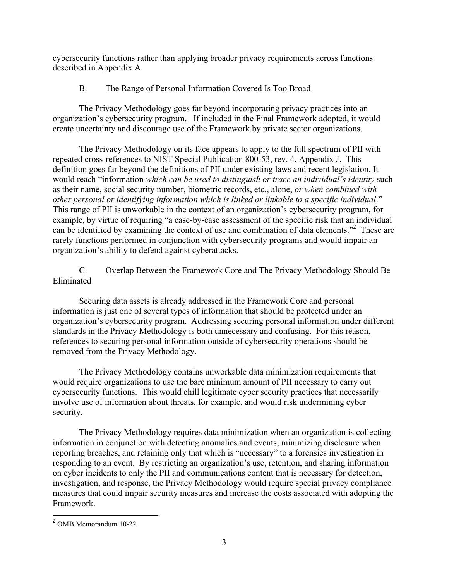cybersecurity functions rather than applying broader privacy requirements across functions described in Appendix A.

# B. The Range of Personal Information Covered Is Too Broad

The Privacy Methodology goes far beyond incorporating privacy practices into an organization's cybersecurity program. If included in the Final Framework adopted, it would create uncertainty and discourage use of the Framework by private sector organizations.

 definition goes far beyond the definitions of PII under existing laws and recent legislation. It other personal or identifying information which is linked or linkable to a specific individual." can be identified by examining the context of use and combination of data elements."<sup>2</sup> These are The Privacy Methodology on its face appears to apply to the full spectrum of PII with repeated cross-references to NIST Special Publication 800-53, rev. 4, Appendix J. This would reach "information *which can be used to distinguish or trace an individual's identity* such as their name, social security number, biometric records, etc., alone, *or when combined with*  This range of PII is unworkable in the context of an organization's cybersecurity program, for example, by virtue of requiring "a case-by-case assessment of the specific risk that an individual rarely functions performed in conjunction with cybersecurity programs and would impair an organization's ability to defend against cyberattacks.

C. Overlap Between the Framework Core and The Privacy Methodology Should Be Eliminated

 organization's cybersecurity program. Addressing securing personal information under different references to securing personal information outside of cybersecurity operations should be Securing data assets is already addressed in the Framework Core and personal information is just one of several types of information that should be protected under an standards in the Privacy Methodology is both unnecessary and confusing. For this reason, removed from the Privacy Methodology.

The Privacy Methodology contains unworkable data minimization requirements that would require organizations to use the bare minimum amount of PII necessary to carry out cybersecurity functions. This would chill legitimate cyber security practices that necessarily involve use of information about threats, for example, and would risk undermining cyber security.

 measures that could impair security measures and increase the costs associated with adopting the The Privacy Methodology requires data minimization when an organization is collecting information in conjunction with detecting anomalies and events, minimizing disclosure when reporting breaches, and retaining only that which is "necessary" to a forensics investigation in responding to an event. By restricting an organization's use, retention, and sharing information on cyber incidents to only the PII and communications content that is necessary for detection, investigation, and response, the Privacy Methodology would require special privacy compliance Framework.

 $\overline{a}$  $<sup>2</sup>$  OMB Memorandum 10-22.</sup>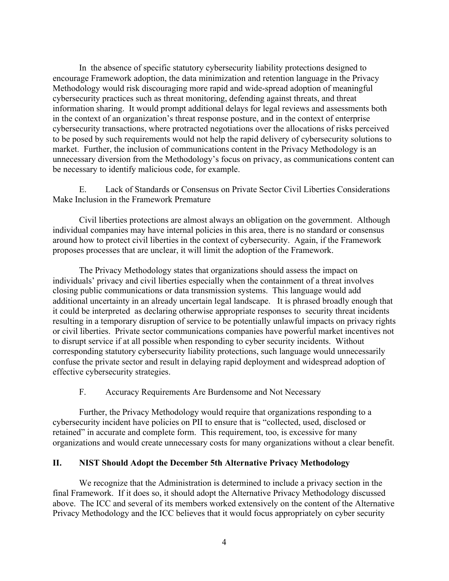Methodology would risk discouraging more rapid and wide-spread adoption of meaningful to be posed by such requirements would not help the rapid delivery of cybersecurity solutions to In the absence of specific statutory cybersecurity liability protections designed to encourage Framework adoption, the data minimization and retention language in the Privacy cybersecurity practices such as threat monitoring, defending against threats, and threat information sharing. It would prompt additional delays for legal reviews and assessments both in the context of an organization's threat response posture, and in the context of enterprise cybersecurity transactions, where protracted negotiations over the allocations of risks perceived market. Further, the inclusion of communications content in the Privacy Methodology is an unnecessary diversion from the Methodology's focus on privacy, as communications content can be necessary to identify malicious code, for example.

Make Inclusion in the Framework Premature E. Lack of Standards or Consensus on Private Sector Civil Liberties Considerations

Make Inclusion in the Framework Premature<br>Civil liberties protections are almost always an obligation on the government. Although proposes processes that are unclear, it will limit the adoption of the Framework. individual companies may have internal policies in this area, there is no standard or consensus around how to protect civil liberties in the context of cybersecurity. Again, if the Framework

 individuals' privacy and civil liberties especially when the containment of a threat involves closing public communications or data transmission systems. This language would add to disrupt service if at all possible when responding to cyber security incidents. Without The Privacy Methodology states that organizations should assess the impact on additional uncertainty in an already uncertain legal landscape. It is phrased broadly enough that it could be interpreted as declaring otherwise appropriate responses to security threat incidents resulting in a temporary disruption of service to be potentially unlawful impacts on privacy rights or civil liberties. Private sector communications companies have powerful market incentives not corresponding statutory cybersecurity liability protections, such language would unnecessarily confuse the private sector and result in delaying rapid deployment and widespread adoption of effective cybersecurity strategies.

F. Accuracy Requirements Are Burdensome and Not Necessary

Further, the Privacy Methodology would require that organizations responding to a cybersecurity incident have policies on PII to ensure that is "collected, used, disclosed or retained" in accurate and complete form. This requirement, too, is excessive for many organizations and would create unnecessary costs for many organizations without a clear benefit.

#### **II. NIST Should Adopt the December 5th Alternative Privacy Methodology**

We recognize that the Administration is determined to include a privacy section in the final Framework. If it does so, it should adopt the Alternative Privacy Methodology discussed above. The ICC and several of its members worked extensively on the content of the Alternative Privacy Methodology and the ICC believes that it would focus appropriately on cyber security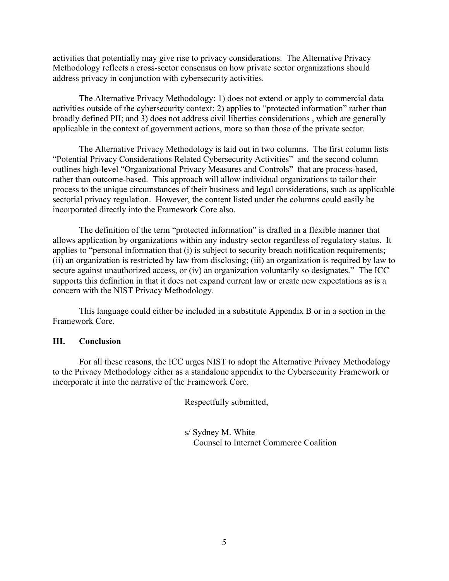Methodology reflects a cross-sector consensus on how private sector organizations should activities that potentially may give rise to privacy considerations. The Alternative Privacy address privacy in conjunction with cybersecurity activities.

applicable in the context of government actions, more so than those of the private sector. The Alternative Privacy Methodology: 1) does not extend or apply to commercial data activities outside of the cybersecurity context; 2) applies to "protected information" rather than broadly defined PII; and 3) does not address civil liberties considerations , which are generally

 "Potential Privacy Considerations Related Cybersecurity Activities" and the second column outlines high-level "Organizational Privacy Measures and Controls" that are process-based, rather than outcome-based. This approach will allow individual organizations to tailor their sectorial privacy regulation. However, the content listed under the columns could easily be incorporated directly into the Framework Core also. The Alternative Privacy Methodology is laid out in two columns. The first column lists process to the unique circumstances of their business and legal considerations, such as applicable

 secure against unauthorized access, or (iv) an organization voluntarily so designates." The ICC concern with the NIST Privacy Methodology. The definition of the term "protected information" is drafted in a flexible manner that allows application by organizations within any industry sector regardless of regulatory status. It applies to "personal information that (i) is subject to security breach notification requirements; (ii) an organization is restricted by law from disclosing; (iii) an organization is required by law to supports this definition in that it does not expand current law or create new expectations as is a

This language could either be included in a substitute Appendix B or in a section in the Framework Core.

#### **III. Conclusion**

For all these reasons, the ICC urges NIST to adopt the Alternative Privacy Methodology to the Privacy Methodology either as a standalone appendix to the Cybersecurity Framework or incorporate it into the narrative of the Framework Core.

Respectfully submitted,

s/ Sydney M. White Counsel to Internet Commerce Coalition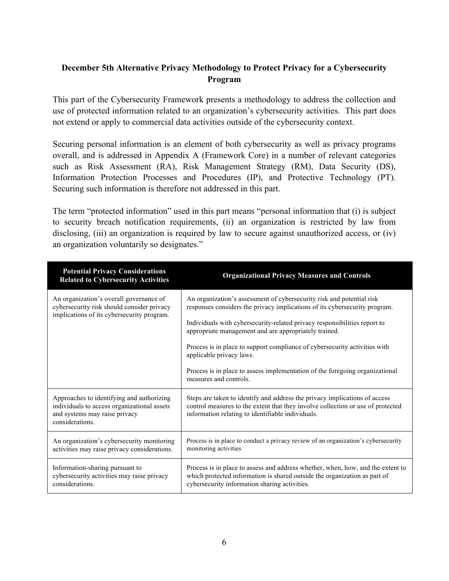# **December 5th Alternative Privacy Methodology to Protect Privacy for a Cybersecurity Program**

 This part of the Cybersecurity Framework presents a methodology to address the collection and use of protected information related to an organization's cybersecurity activities. This part does not extend or apply to commercial data activities outside of the cybersecurity context.

 Securing personal information is an element of both cybersecurity as well as privacy programs overall, and is addressed in Appendix A (Framework Core) in a number of relevant categories such as Risk Assessment (RA), Risk Management Strategy (RM), Data Security (DS), Information Protection Processes and Procedures (IP), and Protective Technology (PT). Securing such information is therefore not addressed in this part.

 The term "protected information" used in this part means "personal information that (i) is subject to security breach notification requirements, (ii) an organization is restricted by law from disclosing, (iii) an organization is required by law to secure against unauthorized access, or (iv) an organization voluntarily so designates."

| <b>Potential Privacy Considerations</b><br><b>Related to Cybersecurity Activities</b>                                                        | <b>Organizational Privacy Measures and Controls</b>                                                                                                                                                                                                                                                                                                                                                 |
|----------------------------------------------------------------------------------------------------------------------------------------------|-----------------------------------------------------------------------------------------------------------------------------------------------------------------------------------------------------------------------------------------------------------------------------------------------------------------------------------------------------------------------------------------------------|
| An organization's overall governance of<br>cybersecurity risk should consider privacy<br>implications of its cybersecurity program.          | An organization's assessment of cybersecurity risk and potential risk<br>responses considers the privacy implications of its cybersecurity program.<br>Individuals with cybersecurity-related privacy responsibilities report to<br>appropriate management and are appropriately trained.<br>Process is in place to support compliance of cybersecurity activities with<br>applicable privacy laws. |
|                                                                                                                                              | Process is in place to assess implementation of the foregoing organizational<br>measures and controls.                                                                                                                                                                                                                                                                                              |
| Approaches to identifying and authorizing<br>individuals to access organizational assets<br>and systems may raise privacy<br>considerations. | Steps are taken to identify and address the privacy implications of access<br>control measures to the extent that they involve collection or use of protected<br>information relating to identifiable individuals.                                                                                                                                                                                  |
| An organization's cybersecurity monitoring<br>activities may raise privacy considerations.                                                   | Process is in place to conduct a privacy review of an organization's cybersecurity<br>monitoring activities                                                                                                                                                                                                                                                                                         |
| Information-sharing pursuant to<br>cybersecurity activities may raise privacy<br>considerations.                                             | Process is in place to assess and address whether, when, how, and the extent to<br>which protected information is shared outside the organization as part of<br>cybersecurity information sharing activities.                                                                                                                                                                                       |